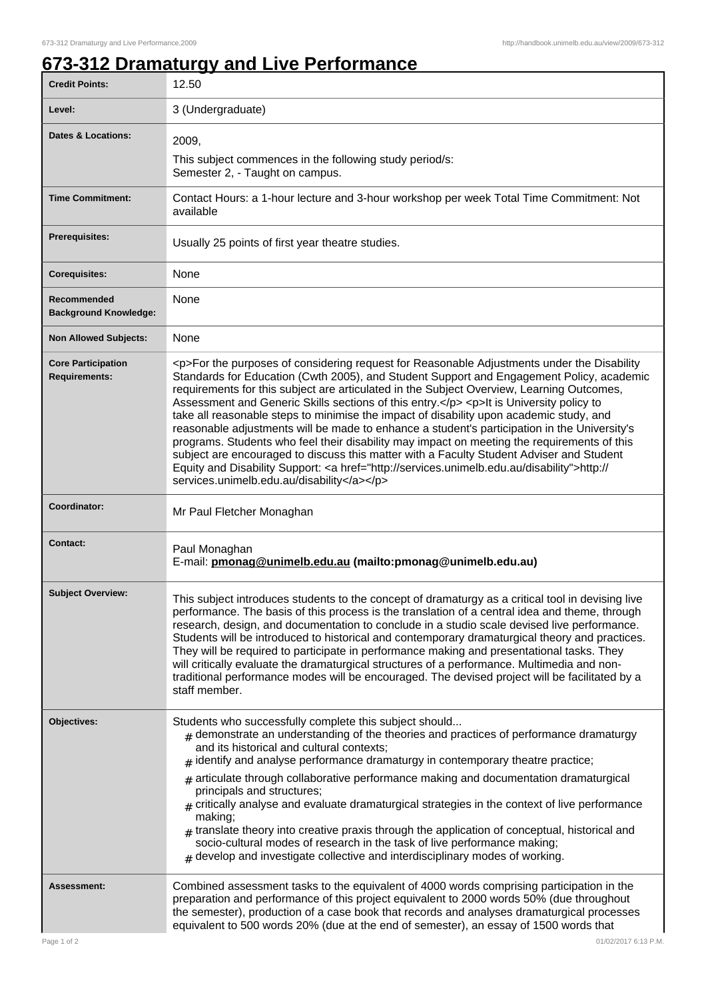## **673-312 Dramaturgy and Live Performance**

| <b>Credit Points:</b>                             | 12.50                                                                                                                                                                                                                                                                                                                                                                                                                                                                                                                                                                                                                                                                                                                                                                                                                                                                                                                        |
|---------------------------------------------------|------------------------------------------------------------------------------------------------------------------------------------------------------------------------------------------------------------------------------------------------------------------------------------------------------------------------------------------------------------------------------------------------------------------------------------------------------------------------------------------------------------------------------------------------------------------------------------------------------------------------------------------------------------------------------------------------------------------------------------------------------------------------------------------------------------------------------------------------------------------------------------------------------------------------------|
| Level:                                            | 3 (Undergraduate)                                                                                                                                                                                                                                                                                                                                                                                                                                                                                                                                                                                                                                                                                                                                                                                                                                                                                                            |
| <b>Dates &amp; Locations:</b>                     | 2009,                                                                                                                                                                                                                                                                                                                                                                                                                                                                                                                                                                                                                                                                                                                                                                                                                                                                                                                        |
|                                                   | This subject commences in the following study period/s:<br>Semester 2, - Taught on campus.                                                                                                                                                                                                                                                                                                                                                                                                                                                                                                                                                                                                                                                                                                                                                                                                                                   |
| <b>Time Commitment:</b>                           | Contact Hours: a 1-hour lecture and 3-hour workshop per week Total Time Commitment: Not<br>available                                                                                                                                                                                                                                                                                                                                                                                                                                                                                                                                                                                                                                                                                                                                                                                                                         |
| <b>Prerequisites:</b>                             | Usually 25 points of first year theatre studies.                                                                                                                                                                                                                                                                                                                                                                                                                                                                                                                                                                                                                                                                                                                                                                                                                                                                             |
| <b>Corequisites:</b>                              | None                                                                                                                                                                                                                                                                                                                                                                                                                                                                                                                                                                                                                                                                                                                                                                                                                                                                                                                         |
| Recommended<br><b>Background Knowledge:</b>       | None                                                                                                                                                                                                                                                                                                                                                                                                                                                                                                                                                                                                                                                                                                                                                                                                                                                                                                                         |
| <b>Non Allowed Subjects:</b>                      | None                                                                                                                                                                                                                                                                                                                                                                                                                                                                                                                                                                                                                                                                                                                                                                                                                                                                                                                         |
| <b>Core Participation</b><br><b>Requirements:</b> | <p>For the purposes of considering request for Reasonable Adjustments under the Disability<br/>Standards for Education (Cwth 2005), and Student Support and Engagement Policy, academic<br/>requirements for this subject are articulated in the Subject Overview, Learning Outcomes,<br/>Assessment and Generic Skills sections of this entry.</p> <p>lt is University policy to<br/>take all reasonable steps to minimise the impact of disability upon academic study, and<br/>reasonable adjustments will be made to enhance a student's participation in the University's<br/>programs. Students who feel their disability may impact on meeting the requirements of this<br/>subject are encouraged to discuss this matter with a Faculty Student Adviser and Student<br/>Equity and Disability Support: &lt; a href="http://services.unimelb.edu.au/disability"&gt;http://<br/>services.unimelb.edu.au/disability</p> |
| Coordinator:                                      | Mr Paul Fletcher Monaghan                                                                                                                                                                                                                                                                                                                                                                                                                                                                                                                                                                                                                                                                                                                                                                                                                                                                                                    |
| <b>Contact:</b>                                   | Paul Monaghan<br>E-mail: pmonag@unimelb.edu.au (mailto:pmonag@unimelb.edu.au)                                                                                                                                                                                                                                                                                                                                                                                                                                                                                                                                                                                                                                                                                                                                                                                                                                                |
| <b>Subject Overview:</b>                          | This subject introduces students to the concept of dramaturgy as a critical tool in devising live<br>performance. The basis of this process is the translation of a central idea and theme, through<br>research, design, and documentation to conclude in a studio scale devised live performance.<br>Students will be introduced to historical and contemporary dramaturgical theory and practices.<br>They will be required to participate in performance making and presentational tasks. They<br>will critically evaluate the dramaturgical structures of a performance. Multimedia and non-<br>traditional performance modes will be encouraged. The devised project will be facilitated by a<br>staff member.                                                                                                                                                                                                          |
| Objectives:                                       | Students who successfully complete this subject should<br>$_{\text{\#}}$ demonstrate an understanding of the theories and practices of performance dramaturgy<br>and its historical and cultural contexts;<br>$#$ identify and analyse performance dramaturgy in contemporary theatre practice;<br>$#$ articulate through collaborative performance making and documentation dramaturgical<br>principals and structures;<br>$_{\#}$ critically analyse and evaluate dramaturgical strategies in the context of live performance<br>making;<br>translate theory into creative praxis through the application of conceptual, historical and<br>#<br>socio-cultural modes of research in the task of live performance making;<br>$#$ develop and investigate collective and interdisciplinary modes of working.                                                                                                                 |
| Assessment:                                       | Combined assessment tasks to the equivalent of 4000 words comprising participation in the<br>preparation and performance of this project equivalent to 2000 words 50% (due throughout<br>the semester), production of a case book that records and analyses dramaturgical processes<br>equivalent to 500 words 20% (due at the end of semester), an essay of 1500 words that                                                                                                                                                                                                                                                                                                                                                                                                                                                                                                                                                 |